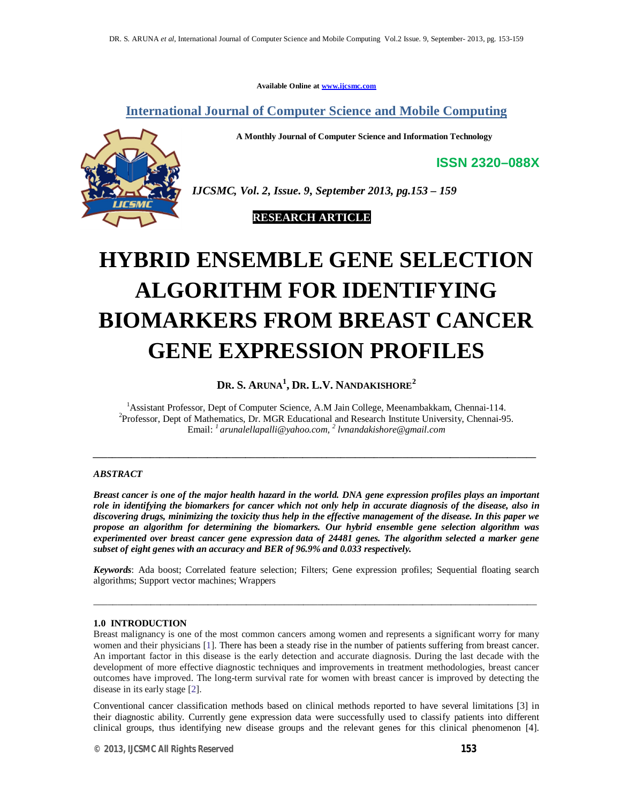**Available Online at www.ijcsmc.com**

**International Journal of Computer Science and Mobile Computing**

**A Monthly Journal of Computer Science and Information Technology**

**ISSN 2320–088X**



*IJCSMC, Vol. 2, Issue. 9, September 2013, pg.153 – 159*

 **RESEARCH ARTICLE**

# **HYBRID ENSEMBLE GENE SELECTION ALGORITHM FOR IDENTIFYING BIOMARKERS FROM BREAST CANCER GENE EXPRESSION PROFILES**

**DR. S. ARUNA<sup>1</sup> , DR. L.V. NANDAKISHORE<sup>2</sup>**

<sup>1</sup>Assistant Professor, Dept of Computer Science, A.M Jain College, Meenambakkam, Chennai-114. <sup>2</sup>Professor, Dept of Mathematics, Dr. MGR Educational and Research Institute University, Chennai-95. Email: *<sup>1</sup> arunalellapalli@yahoo.com, 2 lvnandakishore@gmail.com*

*\_\_\_\_\_\_\_\_\_\_\_\_\_\_\_\_\_\_\_\_\_\_\_\_\_\_\_\_\_\_\_\_\_\_\_\_\_\_\_\_\_\_\_\_\_\_\_\_\_\_\_\_\_\_\_\_\_\_\_\_\_\_\_\_\_\_\_\_\_\_\_\_\_\_\_\_\_\_\_\_\_\_\_\_\_\_\_\_\_\_\_\_\_*

# *ABSTRACT*

*Breast cancer is one of the major health hazard in the world. DNA gene expression profiles plays an important role in identifying the biomarkers for cancer which not only help in accurate diagnosis of the disease, also in discovering drugs, minimizing the toxicity thus help in the effective management of the disease. In this paper we propose an algorithm for determining the biomarkers. Our hybrid ensemble gene selection algorithm was experimented over breast cancer gene expression data of 24481 genes. The algorithm selected a marker gene subset of eight genes with an accuracy and BER of 96.9% and 0.033 respectively.*

*Keywords*: Ada boost; Correlated feature selection; Filters; Gene expression profiles; Sequential floating search algorithms; Support vector machines; Wrappers

\_\_\_\_\_\_\_\_\_\_\_\_\_\_\_\_\_\_\_\_\_\_\_\_\_\_\_\_\_\_\_\_\_\_\_\_\_\_\_\_\_\_\_\_\_\_\_\_\_\_\_\_\_\_\_\_\_\_\_\_\_\_\_\_\_\_\_\_\_\_\_\_\_\_\_\_\_\_\_\_\_\_\_\_\_\_\_\_\_\_\_\_\_

# **1.0 INTRODUCTION**

Breast malignancy is one of the most common cancers among women and represents a significant worry for many women and their physicians [1]. There has been a steady rise in the number of patients suffering from breast cancer. An important factor in this disease is the early detection and accurate diagnosis. During the last decade with the development of more effective diagnostic techniques and improvements in treatment methodologies, breast cancer outcomes have improved. The long-term survival rate for women with breast cancer is improved by detecting the disease in its early stage [2].

Conventional cancer classification methods based on clinical methods reported to have several limitations [3] in their diagnostic ability. Currently gene expression data were successfully used to classify patients into different clinical groups, thus identifying new disease groups and the relevant genes for this clinical phenomenon [4].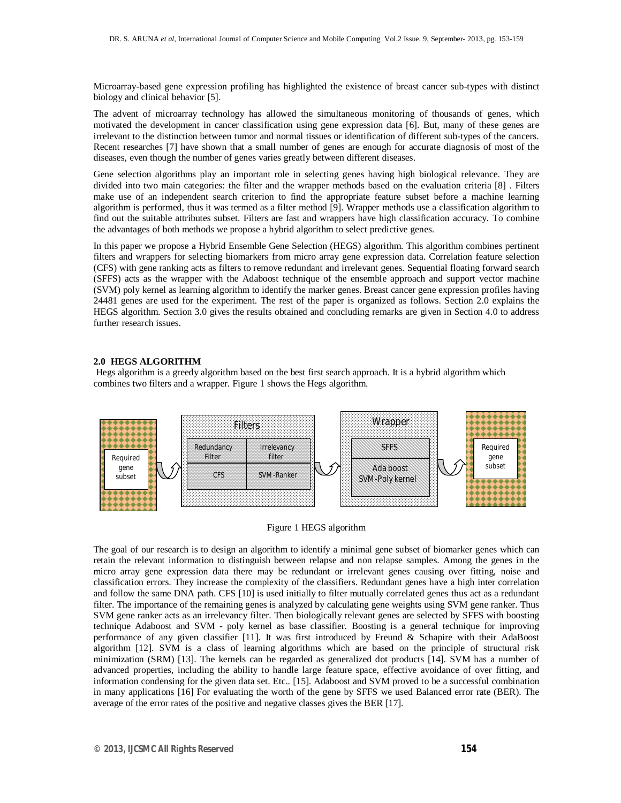Microarray-based gene expression profiling has highlighted the existence of breast cancer sub-types with distinct biology and clinical behavior [5].

The advent of microarray technology has allowed the simultaneous monitoring of thousands of genes, which motivated the development in cancer classification using gene expression data [6]. But, many of these genes are irrelevant to the distinction between tumor and normal tissues or identification of different sub-types of the cancers. Recent researches [7] have shown that a small number of genes are enough for accurate diagnosis of most of the diseases, even though the number of genes varies greatly between different diseases.

Gene selection algorithms play an important role in selecting genes having high biological relevance. They are divided into two main categories: the filter and the wrapper methods based on the evaluation criteria [8] . Filters make use of an independent search criterion to find the appropriate feature subset before a machine learning algorithm is performed, thus it was termed as a filter method [9]. Wrapper methods use a classification algorithm to find out the suitable attributes subset. Filters are fast and wrappers have high classification accuracy. To combine the advantages of both methods we propose a hybrid algorithm to select predictive genes.

In this paper we propose a Hybrid Ensemble Gene Selection (HEGS) algorithm. This algorithm combines pertinent filters and wrappers for selecting biomarkers from micro array gene expression data. Correlation feature selection (CFS) with gene ranking acts as filters to remove redundant and irrelevant genes. Sequential floating forward search (SFFS) acts as the wrapper with the Adaboost technique of the ensemble approach and support vector machine (SVM) poly kernel as learning algorithm to identify the marker genes. Breast cancer gene expression profiles having 24481 genes are used for the experiment. The rest of the paper is organized as follows. Section 2.0 explains the HEGS algorithm. Section 3.0 gives the results obtained and concluding remarks are given in Section 4.0 to address further research issues.

## **2.0 HEGS ALGORITHM**

Hegs algorithm is a greedy algorithm based on the best first search approach. It is a hybrid algorithm which combines two filters and a wrapper. Figure 1 shows the Hegs algorithm.





The goal of our research is to design an algorithm to identify a minimal gene subset of biomarker genes which can retain the relevant information to distinguish between relapse and non relapse samples. Among the genes in the micro array gene expression data there may be redundant or irrelevant genes causing over fitting, noise and classification errors. They increase the complexity of the classifiers. Redundant genes have a high inter correlation and follow the same DNA path. CFS [10] is used initially to filter mutually correlated genes thus act as a redundant filter. The importance of the remaining genes is analyzed by calculating gene weights using SVM gene ranker. Thus SVM gene ranker acts as an irrelevancy filter. Then biologically relevant genes are selected by SFFS with boosting technique Adaboost and SVM - poly kernel as base classifier. Boosting is a general technique for improving performance of any given classifier [11]. It was first introduced by Freund & Schapire with their AdaBoost algorithm [12]. SVM is a class of learning algorithms which are based on the principle of structural risk minimization (SRM) [13]. The kernels can be regarded as generalized dot products [14]. SVM has a number of advanced properties, including the ability to handle large feature space, effective avoidance of over fitting, and information condensing for the given data set. Etc.. [15]. Adaboost and SVM proved to be a successful combination in many applications [16] For evaluating the worth of the gene by SFFS we used Balanced error rate (BER). The average of the error rates of the positive and negative classes gives the BER [17].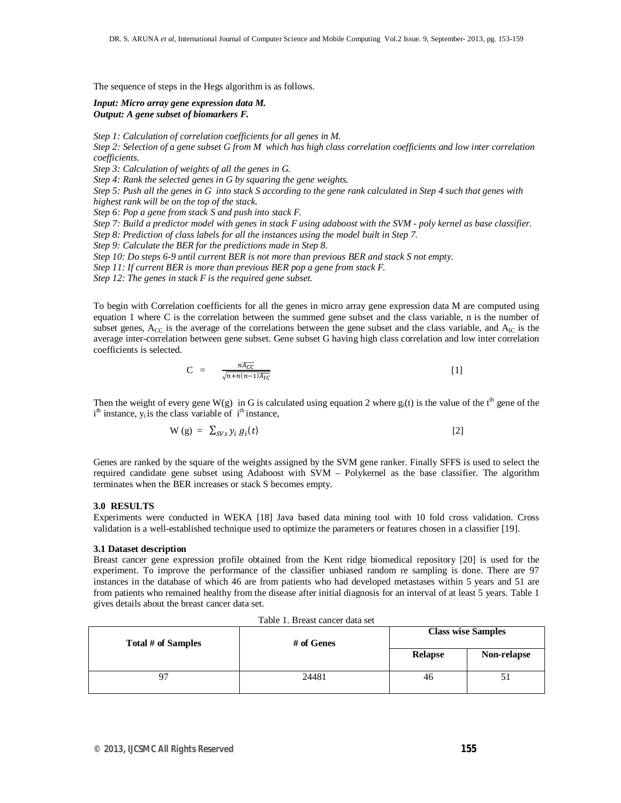The sequence of steps in the Hegs algorithm is as follows.

#### *Input: Micro array gene expression data M. Output: A gene subset of biomarkers F.*

*Step 1: Calculation of correlation coefficients for all genes in M.*

*Step 2: Selection of a gene subset G from M which has high class correlation coefficients and low inter correlation coefficients.*

*Step 3: Calculation of weights of all the genes in G.*

*Step 4: Rank the selected genes in G by squaring the gene weights.*

*Step 5: Push all the genes in G into stack S according to the gene rank calculated in Step 4 such that genes with highest rank will be on the top of the stack.*

*Step 6: Pop a gene from stack S and push into stack F.*

*Step 7: Build a predictor model with genes in stack F using adaboost with the SVM - poly kernel as base classifier. Step 8: Prediction of class labels for all the instances using the model built in Step 7.*

*Step 9: Calculate the BER for the predictions made in Step 8.*

*Step 10: Do steps 6-9 until current BER is not more than previous BER and stack S not empty.*

*Step 11: If current BER is more than previous BER pop a gene from stack F.*

*Step 12: The genes in stack F is the required gene subset.*

To begin with Correlation coefficients for all the genes in micro array gene expression data M are computed using equation 1 where C is the correlation between the summed gene subset and the class variable, n is the number of subset genes,  $A_{CC}$  is the average of the correlations between the gene subset and the class variable, and  $A_{IC}$  is the average inter-correlation between gene subset. Gene subset G having high class correlation and low inter correlation coefficients is selected.

$$
C = \frac{n\overline{AC}}{\sqrt{n+n(n-1)\overline{A_{IC}}}}
$$
 [1]

Then the weight of every gene W(g) in G is calculated using equation 2 where  $g_i(t)$  is the value of the t<sup>th</sup> gene of the  $i<sup>th</sup>$  instance,  $y<sub>i</sub>$  is the class variable of  $i<sup>th</sup>$  instance,

$$
W(g) = \sum_{SVs} y_i g_i(t) \tag{2}
$$

Genes are ranked by the square of the weights assigned by the SVM gene ranker. Finally SFFS is used to select the required candidate gene subset using Adaboost with SVM – Polykernel as the base classifier. The algorithm terminates when the BER increases or stack S becomes empty.

#### **3.0 RESULTS**

Experiments were conducted in WEKA [18] Java based data mining tool with 10 fold cross validation. Cross validation is a well-established technique used to optimize the parameters or features chosen in a classifier [19].

#### **3.1 Dataset description**

Breast cancer gene expression profile obtained from the Kent ridge biomedical repository [20] is used for the experiment. To improve the performance of the classifier unbiased random re sampling is done. There are 97 instances in the database of which 46 are from patients who had developed metastases within 5 years and 51 are from patients who remained healthy from the disease after initial diagnosis for an interval of at least 5 years. Table 1 gives details about the breast cancer data set.

| Total # of Samples | # of Genes |                | <b>Class wise Samples</b> |  |  |
|--------------------|------------|----------------|---------------------------|--|--|
|                    |            | <b>Relapse</b> | Non-relapse               |  |  |
| 97                 | 24481      | 46             | ЭI                        |  |  |

Table 1. Breast cancer data set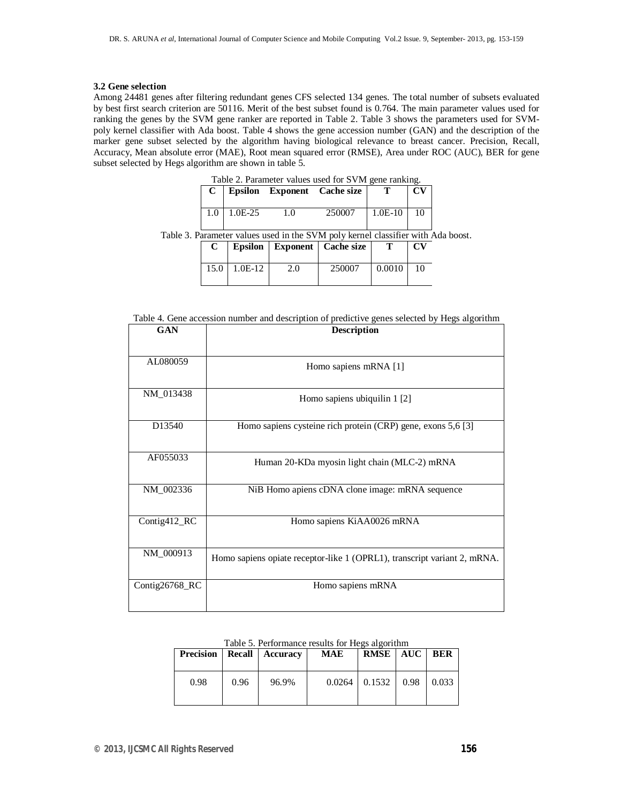#### **3.2 Gene selection**

Among 24481 genes after filtering redundant genes CFS selected 134 genes. The total number of subsets evaluated by best first search criterion are 50116. Merit of the best subset found is 0.764. The main parameter values used for ranking the genes by the SVM gene ranker are reported in Table 2. Table 3 shows the parameters used for SVMpoly kernel classifier with Ada boost. Table 4 shows the gene accession number (GAN) and the description of the marker gene subset selected by the algorithm having biological relevance to breast cancer. Precision, Recall, Accuracy, Mean absolute error (MAE), Root mean squared error (RMSE), Area under ROC (AUC), BER for gene subset selected by Hegs algorithm are shown in table 5.

| Table 2. Parameter values used for SVM gene ranking. |                   |        |                                                                  |              |                        |  |
|------------------------------------------------------|-------------------|--------|------------------------------------------------------------------|--------------|------------------------|--|
| C                                                    |                   |        | Epsilon Exponent Cache size                                      |              | $\mathbf{C}\mathbf{V}$ |  |
|                                                      |                   |        |                                                                  |              |                        |  |
|                                                      | $1.0$   $1.0E-25$ | $-1.0$ | 250007                                                           | $1.0E-10$ 10 |                        |  |
|                                                      |                   |        | . Parameter values used in the SVM poly kernel classifier with A |              |                        |  |
|                                                      |                   |        | Ensilon   Exnonent   Cache size                                  |              |                        |  |

Table 3. Parameter values used in the SVM poly kernel classifier with Ada boost.

| C    |           |     | Epsilon   Exponent   Cache size |        | $\mathbf{C}\mathbf{V}$ |
|------|-----------|-----|---------------------------------|--------|------------------------|
| 15.0 | $1.0E-12$ | 2.0 | 250007                          | 0.0010 | 10                     |

Table 4. Gene accession number and description of predictive genes selected by Hegs algorithm

| <b>GAN</b>         | <b>Description</b>                                                       |
|--------------------|--------------------------------------------------------------------------|
| AL080059           | Homo sapiens mRNA [1]                                                    |
| NM_013438          | Homo sapiens ubiquilin 1 [2]                                             |
| D <sub>13540</sub> | Homo sapiens cysteine rich protein (CRP) gene, exons 5,6 [3]             |
| AF055033           | Human 20-KDa myosin light chain (MLC-2) mRNA                             |
| NM_002336          | NiB Homo apiens cDNA clone image: mRNA sequence                          |
| Contig412_RC       | Homo sapiens KiAA0026 mRNA                                               |
| NM_000913          | Homo sapiens opiate receptor-like 1 (OPRL1), transcript variant 2, mRNA. |
| Contig26768_RC     | Homo sapiens mRNA                                                        |

| Table 5. Performance results for Hegs algorithm |  |
|-------------------------------------------------|--|
|-------------------------------------------------|--|

| <b>Precision</b> |      | Recall   Accuracy | MAE    | <b>RMSE</b> | AUC <b>AUC</b> | <b>BER</b> |
|------------------|------|-------------------|--------|-------------|----------------|------------|
| 0.98             | 0.96 | 96.9%             | 0.0264 | 0.1532      | 0.98           | 0.033      |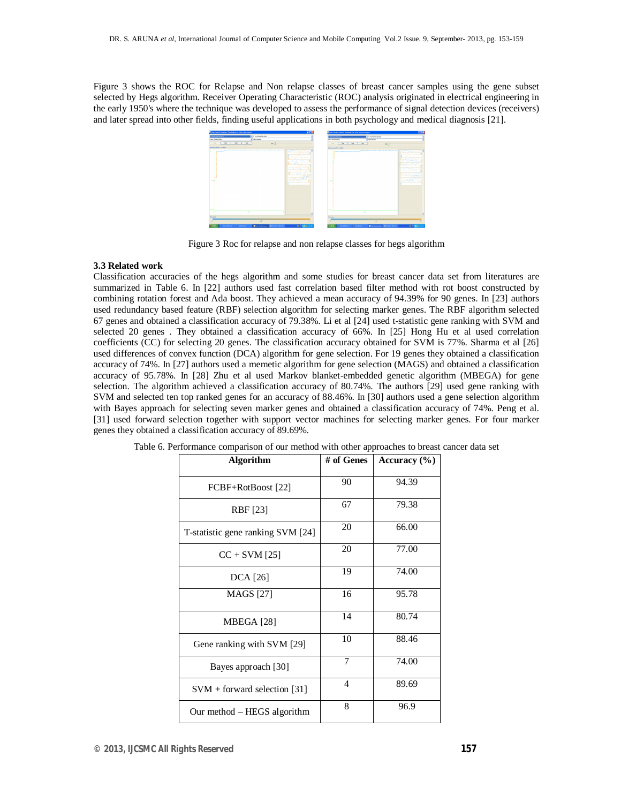Figure 3 shows the ROC for Relapse and Non relapse classes of breast cancer samples using the gene subset selected by Hegs algorithm. Receiver Operating Characteristic (ROC) analysis originated in electrical engineering in the early 1950's where the technique was developed to assess the performance of signal detection devices (receivers) and later spread into other fields, finding useful applications in both psychology and medical diagnosis [21].



Figure 3 Roc for relapse and non relapse classes for hegs algorithm

#### **3.3 Related work**

Classification accuracies of the hegs algorithm and some studies for breast cancer data set from literatures are summarized in Table 6. In [22] authors used fast correlation based filter method with rot boost constructed by combining rotation forest and Ada boost. They achieved a mean accuracy of 94.39% for 90 genes. In [23] authors used redundancy based feature (RBF) selection algorithm for selecting marker genes. The RBF algorithm selected 67 genes and obtained a classification accuracy of 79.38%. Li et al [24] used t-statistic gene ranking with SVM and selected 20 genes . They obtained a classification accuracy of 66%. In [25] Hong Hu et al used correlation coefficients (CC) for selecting 20 genes. The classification accuracy obtained for SVM is 77%. Sharma et al [26] used differences of convex function (DCA) algorithm for gene selection. For 19 genes they obtained a classification accuracy of 74%. In [27] authors used a memetic algorithm for gene selection (MAGS) and obtained a classification accuracy of 95.78%. In [28] Zhu et al used Markov blanket-embedded genetic algorithm (MBEGA) for gene selection. The algorithm achieved a classification accuracy of 80.74%. The authors [29] used gene ranking with SVM and selected ten top ranked genes for an accuracy of 88.46%. In [30] authors used a gene selection algorithm with Bayes approach for selecting seven marker genes and obtained a classification accuracy of 74%. Peng et al. [31] used forward selection together with support vector machines for selecting marker genes. For four marker genes they obtained a classification accuracy of 89.69%.

| <b>Algorithm</b>                  | # of Genes | Accuracy $(\% )$ |
|-----------------------------------|------------|------------------|
| FCBF+RotBoost [22]                | 90         | 94.39            |
| RBF [23]                          | 67         | 79.38            |
| T-statistic gene ranking SVM [24] | 20         | 66.00            |
| $CC + SVM [25]$                   | 20         | 77.00            |
| <b>DCA</b> [26]                   | 19         | 74.00            |
| <b>MAGS</b> [27]                  | 16         | 95.78            |
| MBEGA [28]                        | 14         | 80.74            |
| Gene ranking with SVM [29]        | 10         | 88.46            |
| Bayes approach [30]               | 7          | 74.00            |
| $SVM$ + forward selection [31]    | 4          | 89.69            |
| Our method – HEGS algorithm       | 8          | 96.9             |

Table 6. Performance comparison of our method with other approaches to breast cancer data set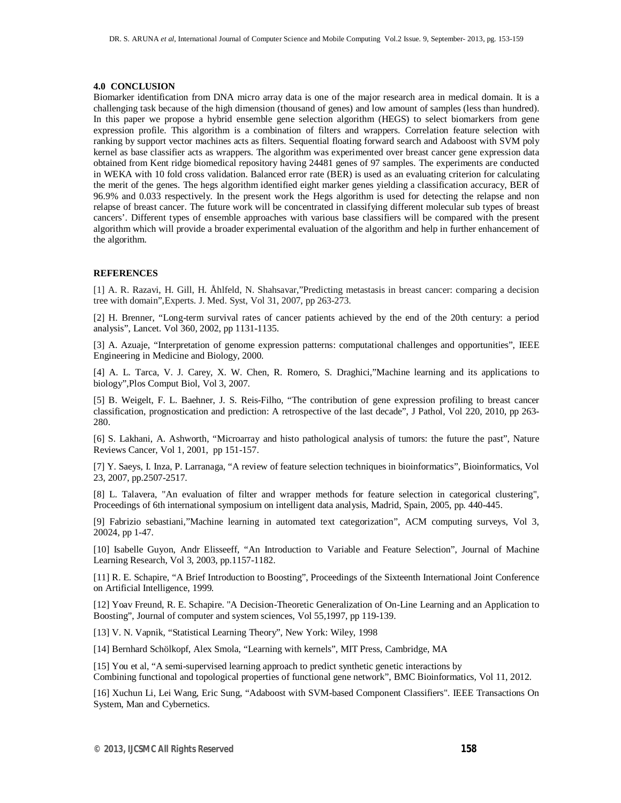#### **4.0 CONCLUSION**

Biomarker identification from DNA micro array data is one of the major research area in medical domain. It is a challenging task because of the high dimension (thousand of genes) and low amount of samples (less than hundred). In this paper we propose a hybrid ensemble gene selection algorithm (HEGS) to select biomarkers from gene expression profile. This algorithm is a combination of filters and wrappers. Correlation feature selection with ranking by support vector machines acts as filters. Sequential floating forward search and Adaboost with SVM poly kernel as base classifier acts as wrappers. The algorithm was experimented over breast cancer gene expression data obtained from Kent ridge biomedical repository having 24481 genes of 97 samples. The experiments are conducted in WEKA with 10 fold cross validation. Balanced error rate (BER) is used as an evaluating criterion for calculating the merit of the genes. The hegs algorithm identified eight marker genes yielding a classification accuracy, BER of 96.9% and 0.033 respectively. In the present work the Hegs algorithm is used for detecting the relapse and non relapse of breast cancer. The future work will be concentrated in classifying different molecular sub types of breast cancers'. Different types of ensemble approaches with various base classifiers will be compared with the present algorithm which will provide a broader experimental evaluation of the algorithm and help in further enhancement of the algorithm.

## **REFERENCES**

[1] A. R. Razavi, H. Gill, H. Åhlfeld, N. Shahsavar,"Predicting metastasis in breast cancer: comparing a decision tree with domain",Experts. J. Med. Syst, Vol 31, 2007, pp 263-273.

[2] H. Brenner, "Long-term survival rates of cancer patients achieved by the end of the 20th century: a period analysis", Lancet. Vol 360, 2002, pp 1131-1135.

[3] A. Azuaje, "Interpretation of genome expression patterns: computational challenges and opportunities", IEEE Engineering in Medicine and Biology, 2000.

[4] A. L. Tarca, V. J. Carey, X. W. Chen, R. Romero, S. Draghici,"Machine learning and its applications to biology",Plos Comput Biol, Vol 3, 2007.

[5] B. Weigelt, F. L. Baehner, J. S. Reis-Filho, "The contribution of gene expression profiling to breast cancer classification, prognostication and prediction: A retrospective of the last decade", J Pathol, Vol 220, 2010, pp 263- 280.

[6] S. Lakhani, A. Ashworth, "Microarray and histo pathological analysis of tumors: the future the past", Nature Reviews Cancer, Vol 1, 2001, pp 151-157.

[7] Y. Saeys, I. Inza, P. Larranaga, "A review of feature selection techniques in bioinformatics", Bioinformatics, Vol 23, 2007, pp.2507-2517.

[8] L. Talavera, "An evaluation of filter and wrapper methods for feature selection in categorical clustering", Proceedings of 6th international symposium on intelligent data analysis, Madrid, Spain, 2005, pp. 440-445.

[9] Fabrizio sebastiani,"Machine learning in automated text categorization", ACM computing surveys, Vol 3, 20024, pp 1-47.

[10] Isabelle Guyon, Andr Elisseeff, "An Introduction to Variable and Feature Selection", Journal of Machine Learning Research, Vol 3, 2003, pp.1157-1182.

[11] R. E. Schapire, "A Brief Introduction to Boosting", Proceedings of the Sixteenth International Joint Conference on Artificial Intelligence, 1999.

[12] Yoav Freund, R. E. Schapire. "A Decision-Theoretic Generalization of On-Line Learning and an Application to Boosting", Journal of computer and system sciences, Vol 55,1997, pp 119-139.

[13] V. N. Vapnik, "Statistical Learning Theory", New York: Wiley, 1998

[14] Bernhard Schölkopf, Alex Smola, "Learning with kernels", MIT Press, Cambridge, MA

[15] You et al, "A semi-supervised learning approach to predict synthetic genetic interactions by Combining functional and topological properties of functional gene network", BMC Bioinformatics, Vol 11, 2012.

[16] Xuchun Li, Lei Wang, Eric Sung, "Adaboost with SVM-based Component Classifiers". IEEE Transactions On System, Man and Cybernetics.